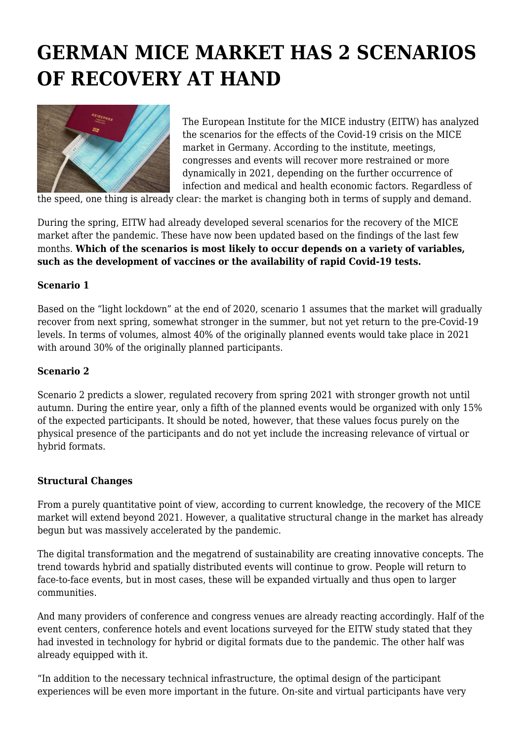# **GERMAN MICE MARKET HAS 2 SCENARIOS OF RECOVERY AT HAND**



The European Institute for the MICE industry (EITW) has analyzed the scenarios for the effects of the Covid-19 crisis on the MICE market in Germany. According to the institute, meetings, congresses and events will recover more restrained or more dynamically in 2021, depending on the further occurrence of infection and medical and health economic factors. Regardless of

the speed, one thing is already clear: the market is changing both in terms of supply and demand.

During the spring, EITW had already developed several scenarios for the recovery of the MICE market after the pandemic. These have now been updated based on the findings of the last few months. **Which of the scenarios is most likely to occur depends on a variety of variables, such as the development of vaccines or the availability of rapid Covid-19 tests.**

### **Scenario 1**

Based on the "light lockdown" at the end of 2020, scenario 1 assumes that the market will gradually recover from next spring, somewhat stronger in the summer, but not yet return to the pre-Covid-19 levels. In terms of volumes, almost 40% of the originally planned events would take place in 2021 with around 30% of the originally planned participants.

#### **Scenario 2**

Scenario 2 predicts a slower, regulated recovery from spring 2021 with stronger growth not until autumn. During the entire year, only a fifth of the planned events would be organized with only 15% of the expected participants. It should be noted, however, that these values focus purely on the physical presence of the participants and do not yet include the increasing relevance of virtual or hybrid formats.

#### **Structural Changes**

From a purely quantitative point of view, according to current knowledge, the recovery of the MICE market will extend beyond 2021. However, a qualitative structural change in the market has already begun but was massively accelerated by the pandemic.

The digital transformation and the megatrend of sustainability are creating innovative concepts. The trend towards hybrid and spatially distributed events will continue to grow. People will return to face-to-face events, but in most cases, these will be expanded virtually and thus open to larger communities.

And many providers of conference and congress venues are already reacting accordingly. Half of the event centers, conference hotels and event locations surveyed for the EITW study stated that they had invested in technology for hybrid or digital formats due to the pandemic. The other half was already equipped with it.

"In addition to the necessary technical infrastructure, the optimal design of the participant experiences will be even more important in the future. On-site and virtual participants have very